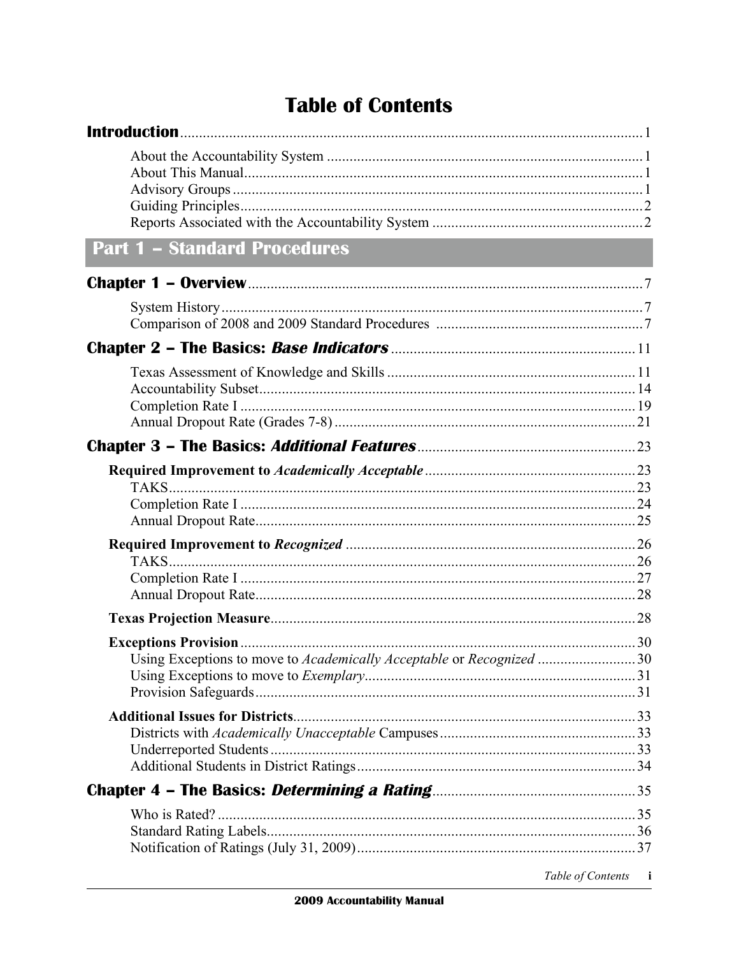## **Table of Contents**

| <b>Part 1 - Standard Procedures</b>                                  |  |
|----------------------------------------------------------------------|--|
|                                                                      |  |
|                                                                      |  |
|                                                                      |  |
|                                                                      |  |
|                                                                      |  |
|                                                                      |  |
|                                                                      |  |
|                                                                      |  |
| Using Exceptions to move to Academically Acceptable or Recognized 30 |  |
|                                                                      |  |
|                                                                      |  |
|                                                                      |  |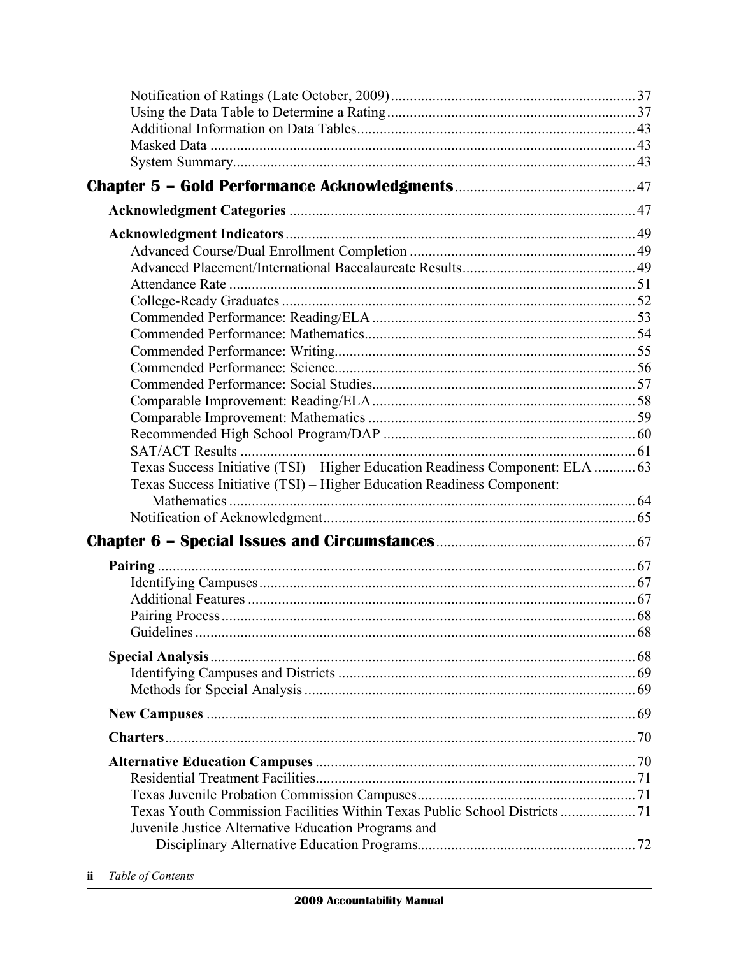| Texas Success Initiative (TSI) - Higher Education Readiness Component: ELA  63 |  |
|--------------------------------------------------------------------------------|--|
| Texas Success Initiative (TSI) - Higher Education Readiness Component:         |  |
|                                                                                |  |
|                                                                                |  |
|                                                                                |  |
|                                                                                |  |
|                                                                                |  |
|                                                                                |  |
|                                                                                |  |
|                                                                                |  |
|                                                                                |  |
|                                                                                |  |
|                                                                                |  |
|                                                                                |  |
|                                                                                |  |
|                                                                                |  |
|                                                                                |  |
|                                                                                |  |
| Texas Youth Commission Facilities Within Texas Public School Districts  71     |  |
| Juvenile Justice Alternative Education Programs and                            |  |
|                                                                                |  |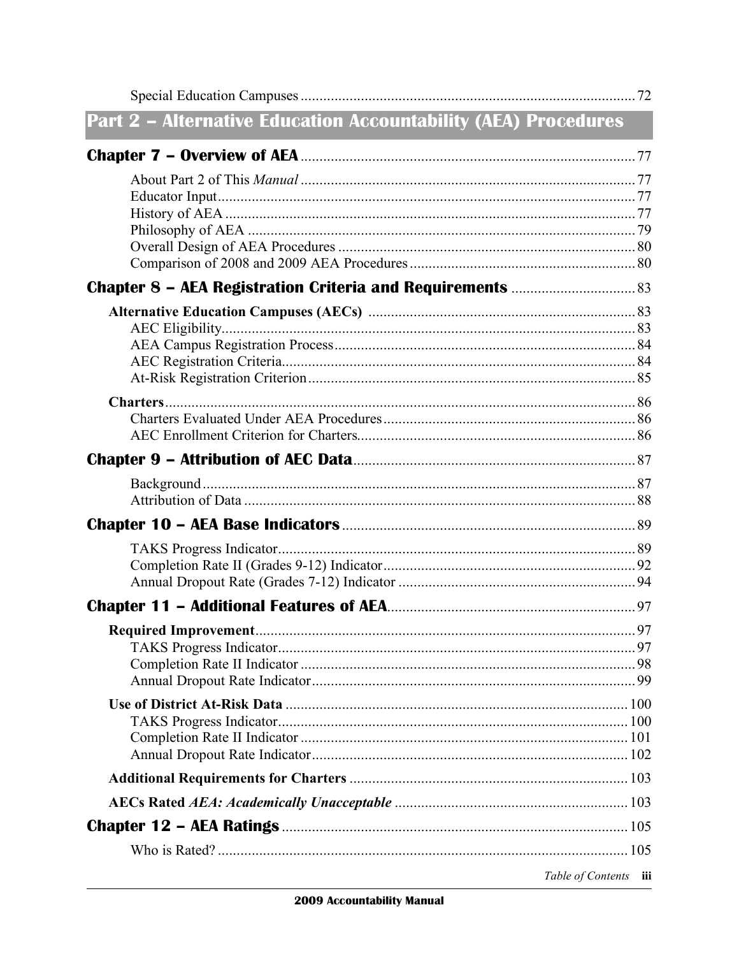| <b>Part 2 - Alternative Education Accountability (AEA) Procedures</b> |  |
|-----------------------------------------------------------------------|--|
|                                                                       |  |
|                                                                       |  |
|                                                                       |  |
|                                                                       |  |
|                                                                       |  |
|                                                                       |  |
|                                                                       |  |
|                                                                       |  |
|                                                                       |  |
|                                                                       |  |
|                                                                       |  |
|                                                                       |  |
|                                                                       |  |
|                                                                       |  |
|                                                                       |  |
|                                                                       |  |
|                                                                       |  |
|                                                                       |  |
|                                                                       |  |
|                                                                       |  |
|                                                                       |  |
|                                                                       |  |
|                                                                       |  |
|                                                                       |  |
|                                                                       |  |
|                                                                       |  |
|                                                                       |  |
|                                                                       |  |
|                                                                       |  |
|                                                                       |  |
|                                                                       |  |
|                                                                       |  |
|                                                                       |  |
| Table of Contents iii                                                 |  |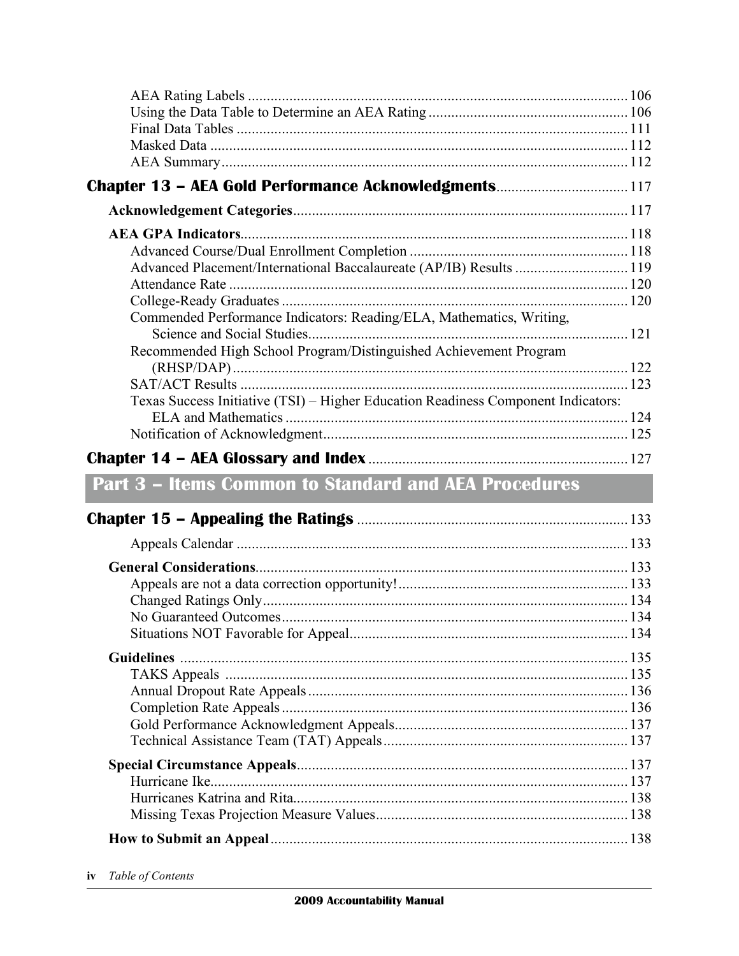| Chapter 13 - AEA Gold Performance Acknowledgments 117                             |  |
|-----------------------------------------------------------------------------------|--|
|                                                                                   |  |
|                                                                                   |  |
|                                                                                   |  |
| Advanced Placement/International Baccalaureate (AP/IB) Results  119               |  |
|                                                                                   |  |
|                                                                                   |  |
| Commended Performance Indicators: Reading/ELA, Mathematics, Writing,              |  |
| Recommended High School Program/Distinguished Achievement Program                 |  |
|                                                                                   |  |
|                                                                                   |  |
| Texas Success Initiative (TSI) - Higher Education Readiness Component Indicators: |  |
|                                                                                   |  |
|                                                                                   |  |
|                                                                                   |  |
| <b>Part 3 - Items Common to Standard and AEA Procedures</b>                       |  |
|                                                                                   |  |
|                                                                                   |  |
|                                                                                   |  |
|                                                                                   |  |
|                                                                                   |  |
|                                                                                   |  |
| No Guaranteed Outcomes                                                            |  |
|                                                                                   |  |
|                                                                                   |  |
|                                                                                   |  |
|                                                                                   |  |
|                                                                                   |  |
|                                                                                   |  |
|                                                                                   |  |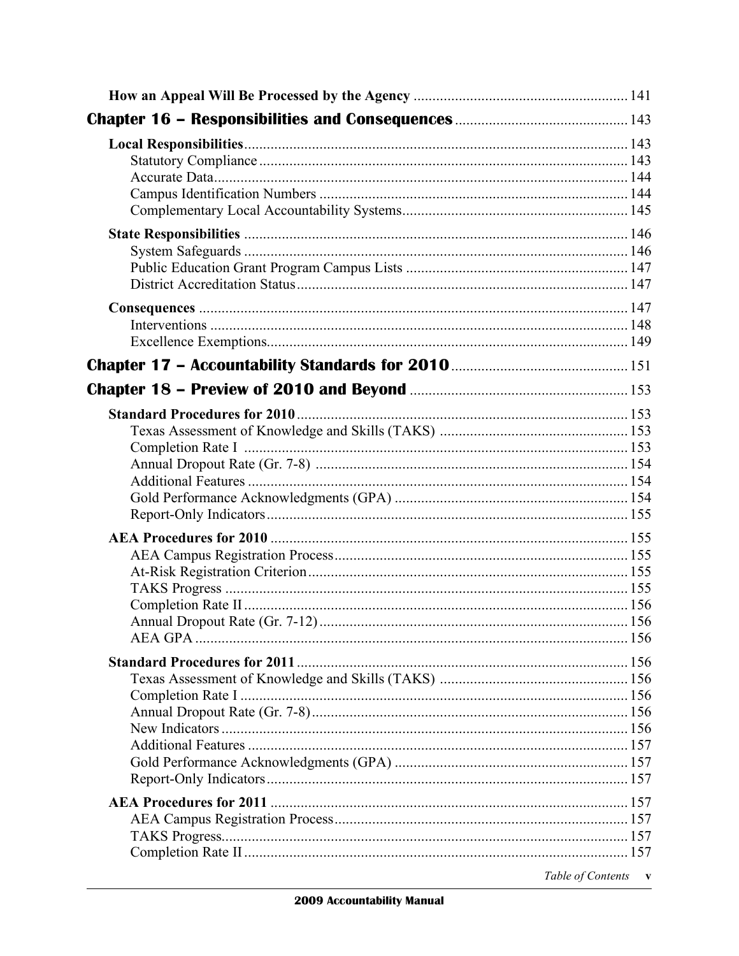| Table of Contents<br>$\mathbf{v}$ |
|-----------------------------------|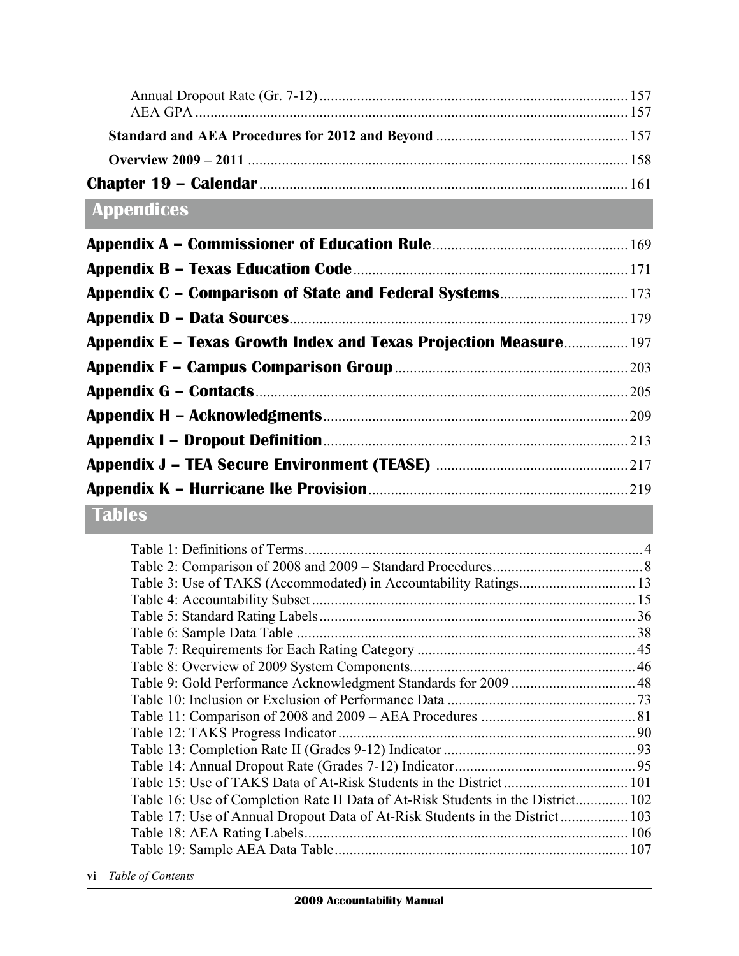## **Appendices**

| <b>Appendix C - Comparison of State and Federal Systems 173</b>         |  |
|-------------------------------------------------------------------------|--|
|                                                                         |  |
| <b>Appendix E – Texas Growth Index and Texas Projection Measure 197</b> |  |
|                                                                         |  |
|                                                                         |  |
|                                                                         |  |
|                                                                         |  |
|                                                                         |  |
|                                                                         |  |

## **Tables**

| Table 16: Use of Completion Rate II Data of At-Risk Students in the District 102 |  |
|----------------------------------------------------------------------------------|--|
| Table 17: Use of Annual Dropout Data of At-Risk Students in the District 103     |  |
|                                                                                  |  |
|                                                                                  |  |
|                                                                                  |  |